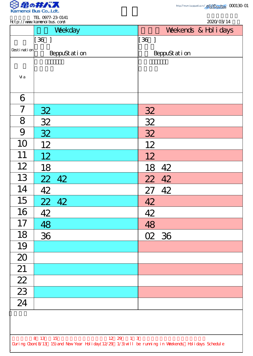

TEL 0977-23-0141

|                                                                                                    | <b>ILL <math>U711 - 23 - U141</math></b><br>http://www.kanenoi.bus.com/                                                                                                                                                                                                                                                                                                                                        | 2020/03/14                         |  |
|----------------------------------------------------------------------------------------------------|----------------------------------------------------------------------------------------------------------------------------------------------------------------------------------------------------------------------------------------------------------------------------------------------------------------------------------------------------------------------------------------------------------------|------------------------------------|--|
|                                                                                                    | Weekday                                                                                                                                                                                                                                                                                                                                                                                                        | Weekends & Hol i days              |  |
|                                                                                                    | $[36]$                                                                                                                                                                                                                                                                                                                                                                                                         | $\begin{bmatrix} 36 \end{bmatrix}$ |  |
| Desti nati on                                                                                      | BeppuStation                                                                                                                                                                                                                                                                                                                                                                                                   | BeppuStation                       |  |
|                                                                                                    |                                                                                                                                                                                                                                                                                                                                                                                                                |                                    |  |
| Vi a                                                                                               |                                                                                                                                                                                                                                                                                                                                                                                                                |                                    |  |
| 6                                                                                                  |                                                                                                                                                                                                                                                                                                                                                                                                                |                                    |  |
| 7                                                                                                  | <u>32</u>                                                                                                                                                                                                                                                                                                                                                                                                      | 32                                 |  |
| 8                                                                                                  | 32                                                                                                                                                                                                                                                                                                                                                                                                             | 32                                 |  |
| 9                                                                                                  | 32                                                                                                                                                                                                                                                                                                                                                                                                             | 32                                 |  |
| 10                                                                                                 | 12                                                                                                                                                                                                                                                                                                                                                                                                             | 12                                 |  |
| 11                                                                                                 | 12                                                                                                                                                                                                                                                                                                                                                                                                             | 12                                 |  |
| 12                                                                                                 | 18                                                                                                                                                                                                                                                                                                                                                                                                             | 42<br>18                           |  |
| 13                                                                                                 |                                                                                                                                                                                                                                                                                                                                                                                                                | 22 42                              |  |
| 14                                                                                                 | $\begin{array}{@{}c@{\hspace{1em}}c@{\hspace{1em}}c@{\hspace{1em}}c@{\hspace{1em}}c@{\hspace{1em}}c@{\hspace{1em}}c@{\hspace{1em}}c@{\hspace{1em}}c@{\hspace{1em}}c@{\hspace{1em}}c@{\hspace{1em}}c@{\hspace{1em}}c@{\hspace{1em}}c@{\hspace{1em}}c@{\hspace{1em}}c@{\hspace{1em}}c@{\hspace{1em}}c@{\hspace{1em}}c@{\hspace{1em}}c@{\hspace{1em}}c@{\hspace{1em}}c@{\hspace{1em}}c@{\hspace{1em}}c@{\hspace{$ | 27 42                              |  |
| 15                                                                                                 | 22 42                                                                                                                                                                                                                                                                                                                                                                                                          | 42                                 |  |
| 16                                                                                                 | 42                                                                                                                                                                                                                                                                                                                                                                                                             | 42                                 |  |
| 17                                                                                                 | 48<br>36                                                                                                                                                                                                                                                                                                                                                                                                       | 48                                 |  |
| 18                                                                                                 |                                                                                                                                                                                                                                                                                                                                                                                                                | 02 36                              |  |
| 19                                                                                                 |                                                                                                                                                                                                                                                                                                                                                                                                                |                                    |  |
| 20                                                                                                 |                                                                                                                                                                                                                                                                                                                                                                                                                |                                    |  |
| $\overline{21}$                                                                                    |                                                                                                                                                                                                                                                                                                                                                                                                                |                                    |  |
| $\frac{22}{23}$ $\frac{23}{24}$                                                                    |                                                                                                                                                                                                                                                                                                                                                                                                                |                                    |  |
|                                                                                                    |                                                                                                                                                                                                                                                                                                                                                                                                                |                                    |  |
|                                                                                                    |                                                                                                                                                                                                                                                                                                                                                                                                                |                                    |  |
|                                                                                                    |                                                                                                                                                                                                                                                                                                                                                                                                                |                                    |  |
|                                                                                                    |                                                                                                                                                                                                                                                                                                                                                                                                                |                                    |  |
| 8 13 15<br>12 29 1 3                                                                               |                                                                                                                                                                                                                                                                                                                                                                                                                |                                    |  |
| During Cbon(8/13 15) and New Year Holiday(12/29 1/3) will be running in Weekends Holidays Schedule |                                                                                                                                                                                                                                                                                                                                                                                                                |                                    |  |